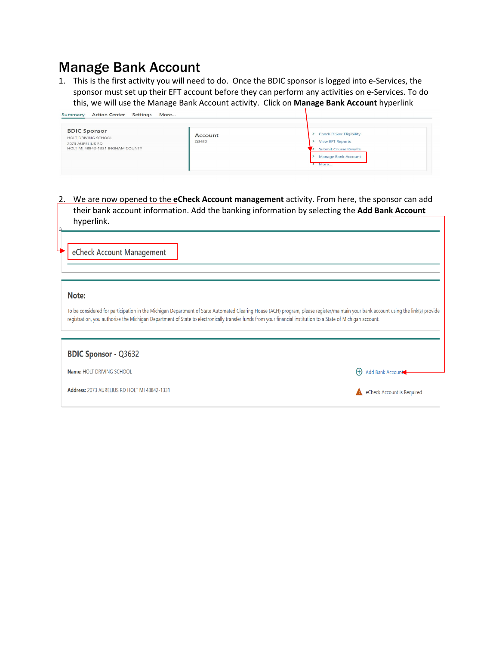## Manage Bank Account

1. This is the first activity you will need to do. Once the BDIC sponsor is logged into e-Services, the sponsor must set up their EFT account before they can perform any activities on e-Services. To do this, we will use the Manage Bank Account activity. Click on **Manage Bank Account** hyperlink

| <b>Action Center</b><br>Settings<br>More<br>Summary                                                |                  |                                                                                                                           |
|----------------------------------------------------------------------------------------------------|------------------|---------------------------------------------------------------------------------------------------------------------------|
| <b>BDIC Sponsor</b><br>HOLT DRIVING SCHOOL<br>2073 AURELIUS RD<br>HOLT MI 48842-1331 INGHAM COUNTY | Account<br>Q3632 | <b>Check Driver Eligibility</b><br><b>View EFT Reports</b><br><b>Submit Course Results</b><br>Manage Bank Account<br>More |

2. We are now opened to the **eCheck Account management** activity. From here, the sponsor can add their bank account information. Add the banking information by selecting the **Add Bank Account** hyperlink.

eCheck Account Management

## Note:

To be considered for participation in the Michigan Department of State Automated Clearing House (ACH) program, please register/maintain your bank account using the link(s) provide registration, you authorize the Michigan Department of State to electronically transfer funds from your financial institution to a State of Michigan account.

| <b>BDIC Sponsor - Q3632</b>                  |                            |
|----------------------------------------------|----------------------------|
| <b>Name: HOLT DRIVING SCHOOL</b>             | + Add Bank Account         |
| Address: 2073 AURELIUS RD HOLT MI 48842-1331 | eCheck Account is Required |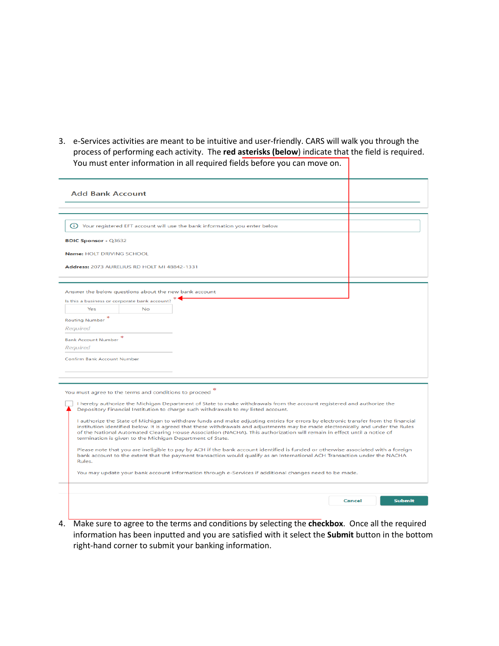3. e-Services activities are meant to be intuitive and user-friendly. CARS will walk you through the process of performing each activity. The **red asterisks (below**) indicate that the field is required. You must enter information in all required fields before you can move on.

| <b>Add Bank Account</b><br>(i) Your registered EFT account will use the bank information you enter below<br><b>BDIC Sponsor - Q3632</b><br>Name: HOLT DRIVING SCHOOL<br>Address: 2073 AURELIUS RD HOLT MI 48842-1331<br>Answer the below questions about the new bank account<br>Is this a business or corporate bank account?<br>Yes<br><b>No</b><br><b>Routing Number</b><br>Required<br><b>Bank Account Number</b><br>Required<br>Confirm Bank Account Number<br>You must agree to the terms and conditions to proceed<br>I hereby authorize the Michigan Department of State to make withdrawals from the account registered and authorize the<br>Depository Financial Institution to charge such withdrawals to my listed account.<br>I authorize the State of Michigan to withdraw funds and make adjusting entries for errors by electronic transfer from the financial<br>institution identified below. It is agreed that these withdrawals and adjustments may be made electronically and under the Rules<br>of the National Automated Clearing House Association (NACHA). This authorization will remain in effect until a notice of<br>termination is given to the Michigan Department of State.<br>Please note that you are ineligible to pay by ACH if the bank account identified is funded or otherwise associated with a foreign<br>bank account to the extent that the payment transaction would qualify as an International ACH Transaction under the NACHA<br>Rules.<br>You may update your bank account information through e-Services if additional changes need to be made.<br>Cancel |  |  |  |               |
|-------------------------------------------------------------------------------------------------------------------------------------------------------------------------------------------------------------------------------------------------------------------------------------------------------------------------------------------------------------------------------------------------------------------------------------------------------------------------------------------------------------------------------------------------------------------------------------------------------------------------------------------------------------------------------------------------------------------------------------------------------------------------------------------------------------------------------------------------------------------------------------------------------------------------------------------------------------------------------------------------------------------------------------------------------------------------------------------------------------------------------------------------------------------------------------------------------------------------------------------------------------------------------------------------------------------------------------------------------------------------------------------------------------------------------------------------------------------------------------------------------------------------------------------------------------------------------------------------------------|--|--|--|---------------|
|                                                                                                                                                                                                                                                                                                                                                                                                                                                                                                                                                                                                                                                                                                                                                                                                                                                                                                                                                                                                                                                                                                                                                                                                                                                                                                                                                                                                                                                                                                                                                                                                             |  |  |  |               |
|                                                                                                                                                                                                                                                                                                                                                                                                                                                                                                                                                                                                                                                                                                                                                                                                                                                                                                                                                                                                                                                                                                                                                                                                                                                                                                                                                                                                                                                                                                                                                                                                             |  |  |  |               |
|                                                                                                                                                                                                                                                                                                                                                                                                                                                                                                                                                                                                                                                                                                                                                                                                                                                                                                                                                                                                                                                                                                                                                                                                                                                                                                                                                                                                                                                                                                                                                                                                             |  |  |  |               |
|                                                                                                                                                                                                                                                                                                                                                                                                                                                                                                                                                                                                                                                                                                                                                                                                                                                                                                                                                                                                                                                                                                                                                                                                                                                                                                                                                                                                                                                                                                                                                                                                             |  |  |  |               |
|                                                                                                                                                                                                                                                                                                                                                                                                                                                                                                                                                                                                                                                                                                                                                                                                                                                                                                                                                                                                                                                                                                                                                                                                                                                                                                                                                                                                                                                                                                                                                                                                             |  |  |  |               |
|                                                                                                                                                                                                                                                                                                                                                                                                                                                                                                                                                                                                                                                                                                                                                                                                                                                                                                                                                                                                                                                                                                                                                                                                                                                                                                                                                                                                                                                                                                                                                                                                             |  |  |  |               |
|                                                                                                                                                                                                                                                                                                                                                                                                                                                                                                                                                                                                                                                                                                                                                                                                                                                                                                                                                                                                                                                                                                                                                                                                                                                                                                                                                                                                                                                                                                                                                                                                             |  |  |  |               |
|                                                                                                                                                                                                                                                                                                                                                                                                                                                                                                                                                                                                                                                                                                                                                                                                                                                                                                                                                                                                                                                                                                                                                                                                                                                                                                                                                                                                                                                                                                                                                                                                             |  |  |  |               |
|                                                                                                                                                                                                                                                                                                                                                                                                                                                                                                                                                                                                                                                                                                                                                                                                                                                                                                                                                                                                                                                                                                                                                                                                                                                                                                                                                                                                                                                                                                                                                                                                             |  |  |  |               |
|                                                                                                                                                                                                                                                                                                                                                                                                                                                                                                                                                                                                                                                                                                                                                                                                                                                                                                                                                                                                                                                                                                                                                                                                                                                                                                                                                                                                                                                                                                                                                                                                             |  |  |  |               |
|                                                                                                                                                                                                                                                                                                                                                                                                                                                                                                                                                                                                                                                                                                                                                                                                                                                                                                                                                                                                                                                                                                                                                                                                                                                                                                                                                                                                                                                                                                                                                                                                             |  |  |  |               |
|                                                                                                                                                                                                                                                                                                                                                                                                                                                                                                                                                                                                                                                                                                                                                                                                                                                                                                                                                                                                                                                                                                                                                                                                                                                                                                                                                                                                                                                                                                                                                                                                             |  |  |  |               |
|                                                                                                                                                                                                                                                                                                                                                                                                                                                                                                                                                                                                                                                                                                                                                                                                                                                                                                                                                                                                                                                                                                                                                                                                                                                                                                                                                                                                                                                                                                                                                                                                             |  |  |  |               |
|                                                                                                                                                                                                                                                                                                                                                                                                                                                                                                                                                                                                                                                                                                                                                                                                                                                                                                                                                                                                                                                                                                                                                                                                                                                                                                                                                                                                                                                                                                                                                                                                             |  |  |  |               |
|                                                                                                                                                                                                                                                                                                                                                                                                                                                                                                                                                                                                                                                                                                                                                                                                                                                                                                                                                                                                                                                                                                                                                                                                                                                                                                                                                                                                                                                                                                                                                                                                             |  |  |  |               |
|                                                                                                                                                                                                                                                                                                                                                                                                                                                                                                                                                                                                                                                                                                                                                                                                                                                                                                                                                                                                                                                                                                                                                                                                                                                                                                                                                                                                                                                                                                                                                                                                             |  |  |  |               |
|                                                                                                                                                                                                                                                                                                                                                                                                                                                                                                                                                                                                                                                                                                                                                                                                                                                                                                                                                                                                                                                                                                                                                                                                                                                                                                                                                                                                                                                                                                                                                                                                             |  |  |  |               |
|                                                                                                                                                                                                                                                                                                                                                                                                                                                                                                                                                                                                                                                                                                                                                                                                                                                                                                                                                                                                                                                                                                                                                                                                                                                                                                                                                                                                                                                                                                                                                                                                             |  |  |  |               |
|                                                                                                                                                                                                                                                                                                                                                                                                                                                                                                                                                                                                                                                                                                                                                                                                                                                                                                                                                                                                                                                                                                                                                                                                                                                                                                                                                                                                                                                                                                                                                                                                             |  |  |  |               |
|                                                                                                                                                                                                                                                                                                                                                                                                                                                                                                                                                                                                                                                                                                                                                                                                                                                                                                                                                                                                                                                                                                                                                                                                                                                                                                                                                                                                                                                                                                                                                                                                             |  |  |  |               |
|                                                                                                                                                                                                                                                                                                                                                                                                                                                                                                                                                                                                                                                                                                                                                                                                                                                                                                                                                                                                                                                                                                                                                                                                                                                                                                                                                                                                                                                                                                                                                                                                             |  |  |  |               |
|                                                                                                                                                                                                                                                                                                                                                                                                                                                                                                                                                                                                                                                                                                                                                                                                                                                                                                                                                                                                                                                                                                                                                                                                                                                                                                                                                                                                                                                                                                                                                                                                             |  |  |  |               |
|                                                                                                                                                                                                                                                                                                                                                                                                                                                                                                                                                                                                                                                                                                                                                                                                                                                                                                                                                                                                                                                                                                                                                                                                                                                                                                                                                                                                                                                                                                                                                                                                             |  |  |  |               |
|                                                                                                                                                                                                                                                                                                                                                                                                                                                                                                                                                                                                                                                                                                                                                                                                                                                                                                                                                                                                                                                                                                                                                                                                                                                                                                                                                                                                                                                                                                                                                                                                             |  |  |  |               |
|                                                                                                                                                                                                                                                                                                                                                                                                                                                                                                                                                                                                                                                                                                                                                                                                                                                                                                                                                                                                                                                                                                                                                                                                                                                                                                                                                                                                                                                                                                                                                                                                             |  |  |  |               |
|                                                                                                                                                                                                                                                                                                                                                                                                                                                                                                                                                                                                                                                                                                                                                                                                                                                                                                                                                                                                                                                                                                                                                                                                                                                                                                                                                                                                                                                                                                                                                                                                             |  |  |  |               |
|                                                                                                                                                                                                                                                                                                                                                                                                                                                                                                                                                                                                                                                                                                                                                                                                                                                                                                                                                                                                                                                                                                                                                                                                                                                                                                                                                                                                                                                                                                                                                                                                             |  |  |  |               |
|                                                                                                                                                                                                                                                                                                                                                                                                                                                                                                                                                                                                                                                                                                                                                                                                                                                                                                                                                                                                                                                                                                                                                                                                                                                                                                                                                                                                                                                                                                                                                                                                             |  |  |  |               |
|                                                                                                                                                                                                                                                                                                                                                                                                                                                                                                                                                                                                                                                                                                                                                                                                                                                                                                                                                                                                                                                                                                                                                                                                                                                                                                                                                                                                                                                                                                                                                                                                             |  |  |  |               |
|                                                                                                                                                                                                                                                                                                                                                                                                                                                                                                                                                                                                                                                                                                                                                                                                                                                                                                                                                                                                                                                                                                                                                                                                                                                                                                                                                                                                                                                                                                                                                                                                             |  |  |  |               |
|                                                                                                                                                                                                                                                                                                                                                                                                                                                                                                                                                                                                                                                                                                                                                                                                                                                                                                                                                                                                                                                                                                                                                                                                                                                                                                                                                                                                                                                                                                                                                                                                             |  |  |  |               |
|                                                                                                                                                                                                                                                                                                                                                                                                                                                                                                                                                                                                                                                                                                                                                                                                                                                                                                                                                                                                                                                                                                                                                                                                                                                                                                                                                                                                                                                                                                                                                                                                             |  |  |  |               |
|                                                                                                                                                                                                                                                                                                                                                                                                                                                                                                                                                                                                                                                                                                                                                                                                                                                                                                                                                                                                                                                                                                                                                                                                                                                                                                                                                                                                                                                                                                                                                                                                             |  |  |  |               |
|                                                                                                                                                                                                                                                                                                                                                                                                                                                                                                                                                                                                                                                                                                                                                                                                                                                                                                                                                                                                                                                                                                                                                                                                                                                                                                                                                                                                                                                                                                                                                                                                             |  |  |  | <b>Submit</b> |
|                                                                                                                                                                                                                                                                                                                                                                                                                                                                                                                                                                                                                                                                                                                                                                                                                                                                                                                                                                                                                                                                                                                                                                                                                                                                                                                                                                                                                                                                                                                                                                                                             |  |  |  |               |

4. Make sure to agree to the terms and conditions by selecting the **checkbox**. Once all the required information has been inputted and you are satisfied with it select the **Submit** button in the bottom right-hand corner to submit your banking information.